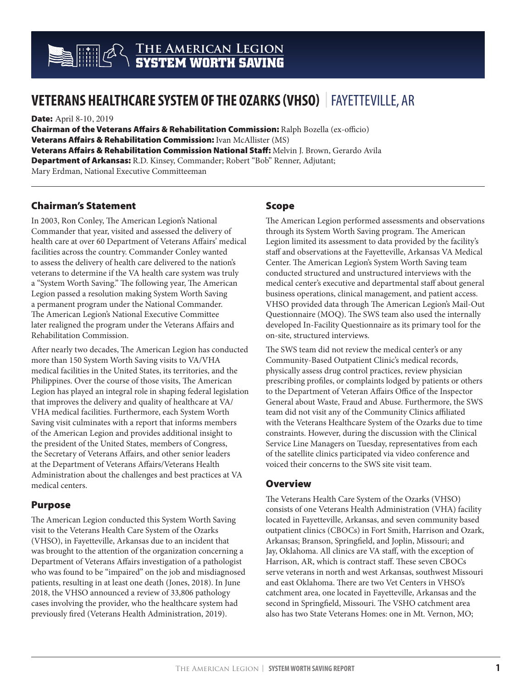## **The American Legion SYSTEM WORTH SAVING**

# **VETERANS HEALTHCARE SYSTEM OF THE OZARKS (VHSO)** | FAYETTEVILLE, AR

**Date: April 8-10, 2019** 

Chairman of the Veterans Affairs & Rehabilitation Commission: Ralph Bozella (ex-officio) **Veterans Affairs & Rehabilitation Commission:** Ivan McAllister (MS) Veterans Affairs & Rehabilitation Commission National Staff: Melvin J. Brown, Gerardo Avila Department of Arkansas: R.D. Kinsey, Commander; Robert "Bob" Renner, Adjutant; Mary Erdman, National Executive Committeeman

### Chairman's Statement

In 2003, Ron Conley, The American Legion's National Commander that year, visited and assessed the delivery of health care at over 60 Department of Veterans Affairs' medical facilities across the country. Commander Conley wanted to assess the delivery of health care delivered to the nation's veterans to determine if the VA health care system was truly a "System Worth Saving." The following year, The American Legion passed a resolution making System Worth Saving a permanent program under the National Commander. The American Legion's National Executive Committee later realigned the program under the Veterans Affairs and Rehabilitation Commission.

After nearly two decades, The American Legion has conducted more than 150 System Worth Saving visits to VA/VHA medical facilities in the United States, its territories, and the Philippines. Over the course of those visits, The American Legion has played an integral role in shaping federal legislation that improves the delivery and quality of healthcare at VA/ VHA medical facilities. Furthermore, each System Worth Saving visit culminates with a report that informs members of the American Legion and provides additional insight to the president of the United States, members of Congress, the Secretary of Veterans Affairs, and other senior leaders at the Department of Veterans Affairs/Veterans Health Administration about the challenges and best practices at VA medical centers.

## Purpose

The American Legion conducted this System Worth Saving visit to the Veterans Health Care System of the Ozarks (VHSO), in Fayetteville, Arkansas due to an incident that was brought to the attention of the organization concerning a Department of Veterans Affairs investigation of a pathologist who was found to be "impaired" on the job and misdiagnosed patients, resulting in at least one death (Jones, 2018). In June 2018, the VHSO announced a review of 33,806 pathology cases involving the provider, who the healthcare system had previously fired (Veterans Health Administration, 2019).

## Scope

The American Legion performed assessments and observations through its System Worth Saving program. The American Legion limited its assessment to data provided by the facility's staff and observations at the Fayetteville, Arkansas VA Medical Center. The American Legion's System Worth Saving team conducted structured and unstructured interviews with the medical center's executive and departmental staff about general business operations, clinical management, and patient access. VHSO provided data through The American Legion's Mail-Out Questionnaire (MOQ). The SWS team also used the internally developed In-Facility Questionnaire as its primary tool for the on-site, structured interviews.

The SWS team did not review the medical center's or any Community-Based Outpatient Clinic's medical records, physically assess drug control practices, review physician prescribing profiles, or complaints lodged by patients or others to the Department of Veteran Affairs Office of the Inspector General about Waste, Fraud and Abuse. Furthermore, the SWS team did not visit any of the Community Clinics affiliated with the Veterans Healthcare System of the Ozarks due to time constraints. However, during the discussion with the Clinical Service Line Managers on Tuesday, representatives from each of the satellite clinics participated via video conference and voiced their concerns to the SWS site visit team.

#### **Overview**

The Veterans Health Care System of the Ozarks (VHSO) consists of one Veterans Health Administration (VHA) facility located in Fayetteville, Arkansas, and seven community based outpatient clinics (CBOCs) in Fort Smith, Harrison and Ozark, Arkansas; Branson, Springfield, and Joplin, Missouri; and Jay, Oklahoma. All clinics are VA staff, with the exception of Harrison, AR, which is contract staff. These seven CBOCs serve veterans in north and west Arkansas, southwest Missouri and east Oklahoma. There are two Vet Centers in VHSO's catchment area, one located in Fayetteville, Arkansas and the second in Springfield, Missouri. The VSHO catchment area also has two State Veterans Homes: one in Mt. Vernon, MO;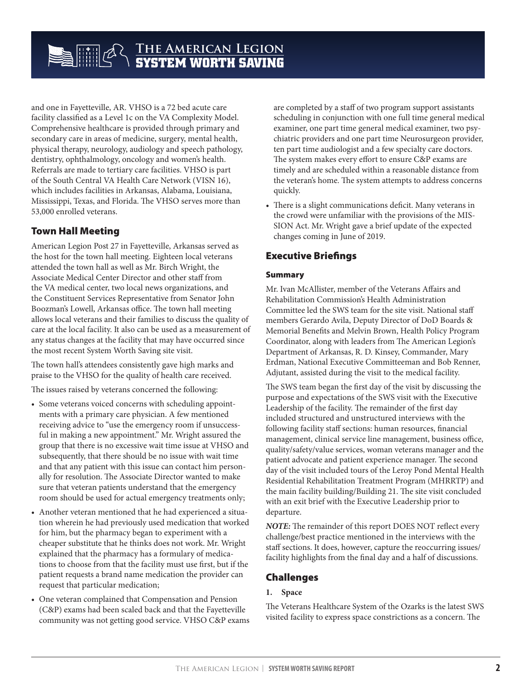## **The American Legion SYSTEM WORTH SAVING**

and one in Fayetteville, AR. VHSO is a 72 bed acute care facility classified as a Level 1c on the VA Complexity Model. Comprehensive healthcare is provided through primary and secondary care in areas of medicine, surgery, mental health, physical therapy, neurology, audiology and speech pathology, dentistry, ophthalmology, oncology and women's health. Referrals are made to tertiary care facilities. VHSO is part of the South Central VA Health Care Network (VISN 16), which includes facilities in Arkansas, Alabama, Louisiana, Mississippi, Texas, and Florida. The VHSO serves more than 53,000 enrolled veterans.

## Town Hall Meeting

American Legion Post 27 in Fayetteville, Arkansas served as the host for the town hall meeting. Eighteen local veterans attended the town hall as well as Mr. Birch Wright, the Associate Medical Center Director and other staff from the VA medical center, two local news organizations, and the Constituent Services Representative from Senator John Boozman's Lowell, Arkansas office. The town hall meeting allows local veterans and their families to discuss the quality of care at the local facility. It also can be used as a measurement of any status changes at the facility that may have occurred since the most recent System Worth Saving site visit.

The town hall's attendees consistently gave high marks and praise to the VHSO for the quality of health care received.

The issues raised by veterans concerned the following:

- Some veterans voiced concerns with scheduling appointments with a primary care physician. A few mentioned receiving advice to "use the emergency room if unsuccessful in making a new appointment." Mr. Wright assured the group that there is no excessive wait time issue at VHSO and subsequently, that there should be no issue with wait time and that any patient with this issue can contact him personally for resolution. The Associate Director wanted to make sure that veteran patients understand that the emergency room should be used for actual emergency treatments only;
- Another veteran mentioned that he had experienced a situation wherein he had previously used medication that worked for him, but the pharmacy began to experiment with a cheaper substitute that he thinks does not work. Mr. Wright explained that the pharmacy has a formulary of medications to choose from that the facility must use first, but if the patient requests a brand name medication the provider can request that particular medication;
- One veteran complained that Compensation and Pension (C&P) exams had been scaled back and that the Fayetteville community was not getting good service. VHSO C&P exams

are completed by a staff of two program support assistants scheduling in conjunction with one full time general medical examiner, one part time general medical examiner, two psychiatric providers and one part time Neurosurgeon provider, ten part time audiologist and a few specialty care doctors. The system makes every effort to ensure C&P exams are timely and are scheduled within a reasonable distance from the veteran's home. The system attempts to address concerns quickly.

• There is a slight communications deficit. Many veterans in the crowd were unfamiliar with the provisions of the MIS-SION Act. Mr. Wright gave a brief update of the expected changes coming in June of 2019.

## Executive Briefings

#### Summary

Mr. Ivan McAllister, member of the Veterans Affairs and Rehabilitation Commission's Health Administration Committee led the SWS team for the site visit. National staff members Gerardo Avila, Deputy Director of DoD Boards & Memorial Benefits and Melvin Brown, Health Policy Program Coordinator, along with leaders from The American Legion's Department of Arkansas, R. D. Kinsey, Commander, Mary Erdman, National Executive Committeeman and Bob Renner, Adjutant, assisted during the visit to the medical facility.

The SWS team began the first day of the visit by discussing the purpose and expectations of the SWS visit with the Executive Leadership of the facility. The remainder of the first day included structured and unstructured interviews with the following facility staff sections: human resources, financial management, clinical service line management, business office, quality/safety/value services, woman veterans manager and the patient advocate and patient experience manager. The second day of the visit included tours of the Leroy Pond Mental Health Residential Rehabilitation Treatment Program (MHRRTP) and the main facility building/Building 21. The site visit concluded with an exit brief with the Executive Leadership prior to departure.

*NOTE:* The remainder of this report DOES NOT reflect every challenge/best practice mentioned in the interviews with the staff sections. It does, however, capture the reoccurring issues/ facility highlights from the final day and a half of discussions.

## Challenges

#### **1. Space**

The Veterans Healthcare System of the Ozarks is the latest SWS visited facility to express space constrictions as a concern. The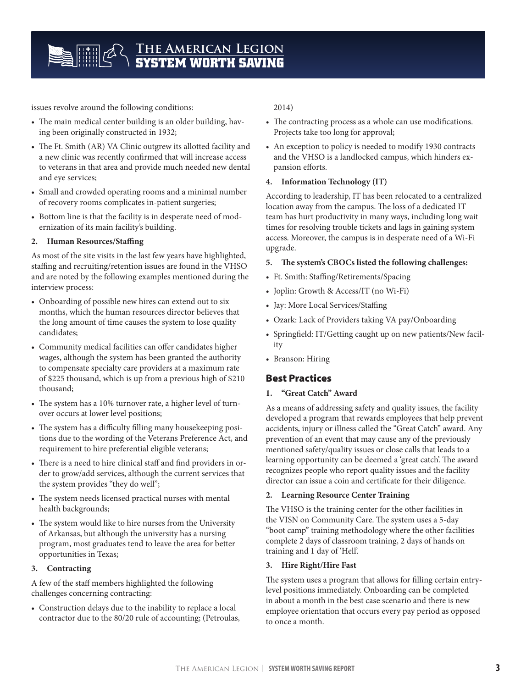issues revolve around the following conditions:

- The main medical center building is an older building, having been originally constructed in 1932;
- The Ft. Smith (AR) VA Clinic outgrew its allotted facility and a new clinic was recently confirmed that will increase access to veterans in that area and provide much needed new dental and eye services;
- Small and crowded operating rooms and a minimal number of recovery rooms complicates in-patient surgeries;
- Bottom line is that the facility is in desperate need of modernization of its main facility's building.

#### **2. Human Resources/Staffing**

As most of the site visits in the last few years have highlighted, staffing and recruiting/retention issues are found in the VHSO and are noted by the following examples mentioned during the interview process:

- Onboarding of possible new hires can extend out to six months, which the human resources director believes that the long amount of time causes the system to lose quality candidates;
- Community medical facilities can offer candidates higher wages, although the system has been granted the authority to compensate specialty care providers at a maximum rate of \$225 thousand, which is up from a previous high of \$210 thousand;
- The system has a 10% turnover rate, a higher level of turnover occurs at lower level positions;
- The system has a difficulty filling many housekeeping positions due to the wording of the Veterans Preference Act, and requirement to hire preferential eligible veterans;
- There is a need to hire clinical staff and find providers in order to grow/add services, although the current services that the system provides "they do well";
- The system needs licensed practical nurses with mental health backgrounds;
- The system would like to hire nurses from the University of Arkansas, but although the university has a nursing program, most graduates tend to leave the area for better opportunities in Texas;

#### **3. Contracting**

A few of the staff members highlighted the following challenges concerning contracting:

• Construction delays due to the inability to replace a local contractor due to the 80/20 rule of accounting; (Petroulas,

#### 2014)

- The contracting process as a whole can use modifications. Projects take too long for approval;
- An exception to policy is needed to modify 1930 contracts and the VHSO is a landlocked campus, which hinders expansion efforts.

#### **4. Information Technology (IT)**

According to leadership, IT has been relocated to a centralized location away from the campus. The loss of a dedicated IT team has hurt productivity in many ways, including long wait times for resolving trouble tickets and lags in gaining system access. Moreover, the campus is in desperate need of a Wi-Fi upgrade.

#### **5. The system's CBOCs listed the following challenges:**

- Ft. Smith: Staffing/Retirements/Spacing
- Joplin: Growth & Access/IT (no Wi-Fi)
- Jay: More Local Services/Staffing
- Ozark: Lack of Providers taking VA pay/Onboarding
- Springfield: IT/Getting caught up on new patients/New facility
- Branson: Hiring

## Best Practices

#### **1. "Great Catch" Award**

As a means of addressing safety and quality issues, the facility developed a program that rewards employees that help prevent accidents, injury or illness called the "Great Catch" award. Any prevention of an event that may cause any of the previously mentioned safety/quality issues or close calls that leads to a learning opportunity can be deemed a 'great catch'. The award recognizes people who report quality issues and the facility director can issue a coin and certificate for their diligence.

#### **2. Learning Resource Center Training**

The VHSO is the training center for the other facilities in the VISN on Community Care. The system uses a 5-day "boot camp" training methodology where the other facilities complete 2 days of classroom training, 2 days of hands on training and 1 day of 'Hell'.

#### **3. Hire Right/Hire Fast**

The system uses a program that allows for filling certain entrylevel positions immediately. Onboarding can be completed in about a month in the best case scenario and there is new employee orientation that occurs every pay period as opposed to once a month.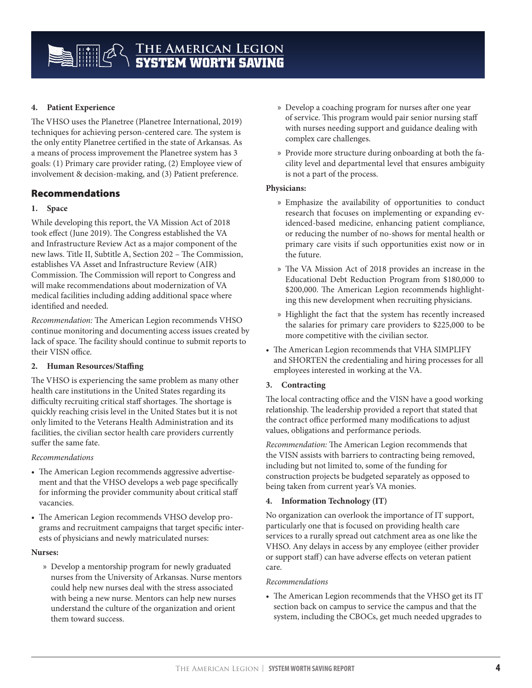#### **4. Patient Experience**

The VHSO uses the Planetree (Planetree International, 2019) techniques for achieving person-centered care. The system is the only entity Planetree certified in the state of Arkansas. As a means of process improvement the Planetree system has 3 goals: (1) Primary care provider rating, (2) Employee view of involvement & decision-making, and (3) Patient preference.

### Recommendations

#### **1. Space**

While developing this report, the VA Mission Act of 2018 took effect (June 2019). The Congress established the VA and Infrastructure Review Act as a major component of the new laws. Title II, Subtitle A, Section 202 – The Commission, establishes VA Asset and Infrastructure Review (AIR) Commission. The Commission will report to Congress and will make recommendations about modernization of VA medical facilities including adding additional space where identified and needed.

*Recommendation:* The American Legion recommends VHSO continue monitoring and documenting access issues created by lack of space. The facility should continue to submit reports to their VISN office.

#### **2. Human Resources/Staffing**

The VHSO is experiencing the same problem as many other health care institutions in the United States regarding its difficulty recruiting critical staff shortages. The shortage is quickly reaching crisis level in the United States but it is not only limited to the Veterans Health Administration and its facilities, the civilian sector health care providers currently suffer the same fate.

#### *Recommendations*

- The American Legion recommends aggressive advertisement and that the VHSO develops a web page specifically for informing the provider community about critical staff vacancies.
- The American Legion recommends VHSO develop programs and recruitment campaigns that target specific interests of physicians and newly matriculated nurses:

#### **Nurses:**

» Develop a mentorship program for newly graduated nurses from the University of Arkansas. Nurse mentors could help new nurses deal with the stress associated with being a new nurse. Mentors can help new nurses understand the culture of the organization and orient them toward success.

- » Develop a coaching program for nurses after one year of service. This program would pair senior nursing staff with nurses needing support and guidance dealing with complex care challenges.
- » Provide more structure during onboarding at both the facility level and departmental level that ensures ambiguity is not a part of the process.

#### **Physicians:**

- » Emphasize the availability of opportunities to conduct research that focuses on implementing or expanding evidenced-based medicine, enhancing patient compliance, or reducing the number of no-shows for mental health or primary care visits if such opportunities exist now or in the future.
- » The VA Mission Act of 2018 provides an increase in the Educational Debt Reduction Program from \$180,000 to \$200,000. The American Legion recommends highlighting this new development when recruiting physicians.
- » Highlight the fact that the system has recently increased the salaries for primary care providers to \$225,000 to be more competitive with the civilian sector.
- The American Legion recommends that VHA SIMPLIFY and SHORTEN the credentialing and hiring processes for all employees interested in working at the VA.

#### **3. Contracting**

The local contracting office and the VISN have a good working relationship. The leadership provided a report that stated that the contract office performed many modifications to adjust values, obligations and performance periods.

*Recommendation:* The American Legion recommends that the VISN assists with barriers to contracting being removed, including but not limited to, some of the funding for construction projects be budgeted separately as opposed to being taken from current year's VA monies.

#### **4. Information Technology (IT)**

No organization can overlook the importance of IT support, particularly one that is focused on providing health care services to a rurally spread out catchment area as one like the VHSO. Any delays in access by any employee (either provider or support staff) can have adverse effects on veteran patient care.

#### *Recommendations*

• The American Legion recommends that the VHSO get its IT section back on campus to service the campus and that the system, including the CBOCs, get much needed upgrades to